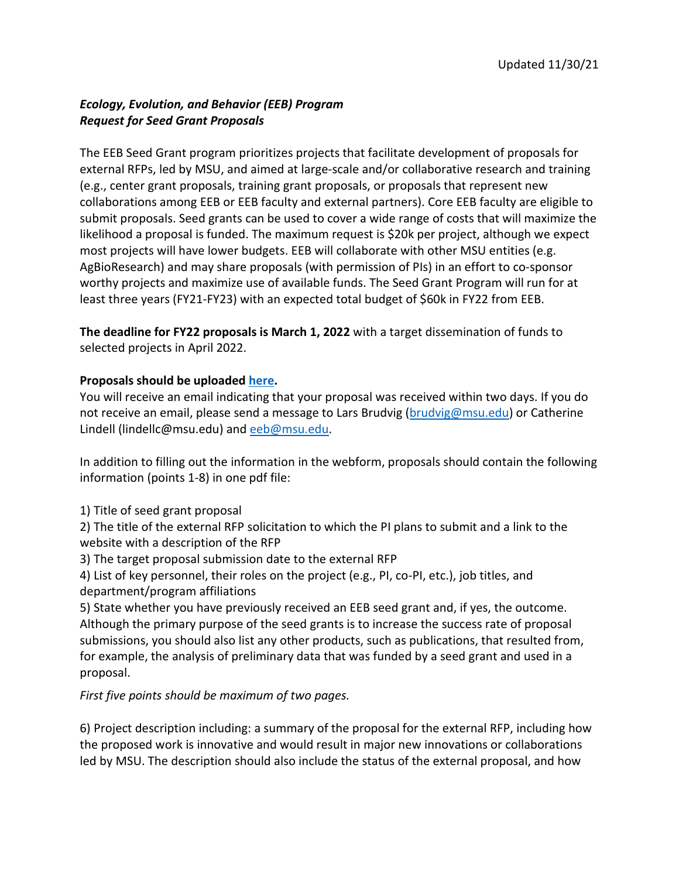## *Ecology, Evolution, and Behavior (EEB) Program Request for Seed Grant Proposals*

The EEB Seed Grant program prioritizes projects that facilitate development of proposals for external RFPs, led by MSU, and aimed at large-scale and/or collaborative research and training (e.g., center grant proposals, training grant proposals, or proposals that represent new collaborations among EEB or EEB faculty and external partners). Core EEB faculty are eligible to submit proposals. Seed grants can be used to cover a wide range of costs that will maximize the likelihood a proposal is funded. The maximum request is \$20k per project, although we expect most projects will have lower budgets. EEB will collaborate with other MSU entities (e.g. AgBioResearch) and may share proposals (with permission of PIs) in an effort to co-sponsor worthy projects and maximize use of available funds. The Seed Grant Program will run for at least three years (FY21-FY23) with an expected total budget of \$60k in FY22 from EEB.

**The deadline for FY22 proposals is March 1, 2022** with a target dissemination of funds to selected projects in April 2022.

## **Proposals should be uploaded [here.](https://forms.gle/pgv4T5wwFbJqqVi2A)**

You will receive an email indicating that your proposal was received within two days. If you do not receive an email, please send a message to Lars Brudvig [\(brudvig@msu.edu\)](mailto:brudvig@msu.edu) or Catherine Lindell (lindellc@msu.edu) and [eeb@msu.edu.](mailto:eeb@msu.edu)

In addition to filling out the information in the webform, proposals should contain the following information (points 1-8) in one pdf file:

1) Title of seed grant proposal

2) The title of the external RFP solicitation to which the PI plans to submit and a link to the website with a description of the RFP

3) The target proposal submission date to the external RFP

4) List of key personnel, their roles on the project (e.g., PI, co-PI, etc.), job titles, and department/program affiliations

5) State whether you have previously received an EEB seed grant and, if yes, the outcome. Although the primary purpose of the seed grants is to increase the success rate of proposal submissions, you should also list any other products, such as publications, that resulted from, for example, the analysis of preliminary data that was funded by a seed grant and used in a proposal.

*First five points should be maximum of two pages.*

6) Project description including: a summary of the proposal for the external RFP, including how the proposed work is innovative and would result in major new innovations or collaborations led by MSU. The description should also include the status of the external proposal, and how